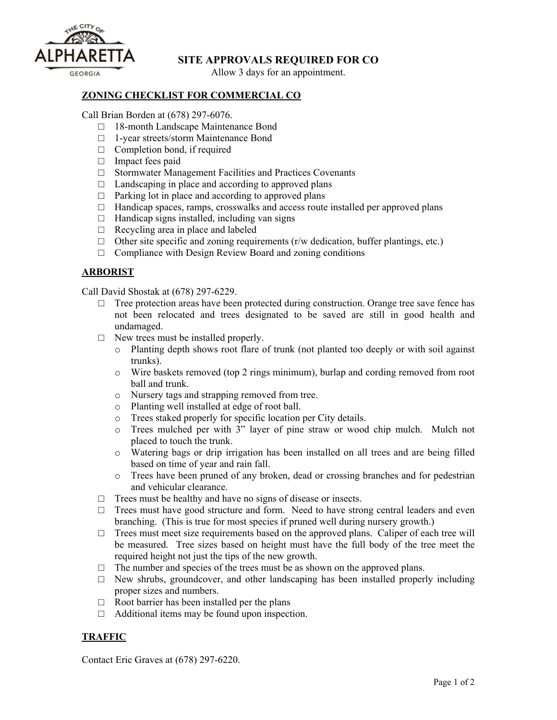

# **SITE APPROVALS REQUIRED FOR CO**

Allow 3 days for an appointment.

#### **ZONING CHECKLIST FOR COMMERCIAL CO**

Call Brian Borden at (678) 297-6076.

- □ 18-month Landscape Maintenance Bond
- □ 1-year streets/storm Maintenance Bond
- $\Box$  Completion bond, if required
- □ Impact fees paid
- □ Stormwater Management Facilities and Practices Covenants
- $\Box$  Landscaping in place and according to approved plans
- $\Box$  Parking lot in place and according to approved plans
- $\Box$  Handicap spaces, ramps, crosswalks and access route installed per approved plans
- $\Box$  Handicap signs installed, including van signs
- $\Box$  Recycling area in place and labeled
- $\Box$  Other site specific and zoning requirements (r/w dedication, buffer plantings, etc.)
- $\Box$  Compliance with Design Review Board and zoning conditions

### **ARBORIST**

Call David Shostak at (678) 297-6229.

- $\Box$  Tree protection areas have been protected during construction. Orange tree save fence has not been relocated and trees designated to be saved are still in good health and undamaged.
- □ New trees must be installed properly.
	- o Planting depth shows root flare of trunk (not planted too deeply or with soil against trunks).
	- o Wire baskets removed (top 2 rings minimum), burlap and cording removed from root ball and trunk.
	- o Nursery tags and strapping removed from tree.
	- o Planting well installed at edge of root ball.
	- o Trees staked properly for specific location per City details.
	- o Trees mulched per with 3" layer of pine straw or wood chip mulch. Mulch not placed to touch the trunk.
	- o Watering bags or drip irrigation has been installed on all trees and are being filled based on time of year and rain fall.
	- o Trees have been pruned of any broken, dead or crossing branches and for pedestrian and vehicular clearance.
- $\Box$  Trees must be healthy and have no signs of disease or insects.
- $\Box$  Trees must have good structure and form. Need to have strong central leaders and even branching. (This is true for most species if pruned well during nursery growth.)
- $\Box$  Trees must meet size requirements based on the approved plans. Caliper of each tree will be measured. Tree sizes based on height must have the full body of the tree meet the required height not just the tips of the new growth.
- $\Box$  The number and species of the trees must be as shown on the approved plans.
- $\Box$  New shrubs, groundcover, and other landscaping has been installed properly including proper sizes and numbers.
- $\Box$  Root barrier has been installed per the plans
- $\Box$  Additional items may be found upon inspection.

## **TRAFFIC**

Contact Eric Graves at (678) 297-6220.